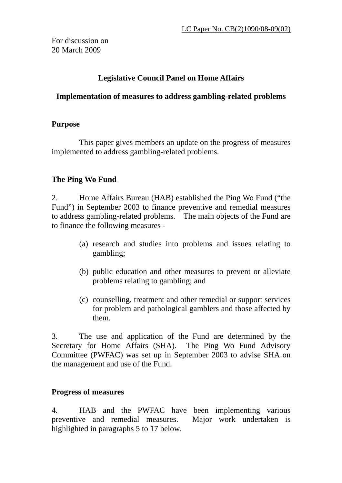For discussion on 20 March 2009

# **Legislative Council Panel on Home Affairs**

## **Implementation of measures to address gambling-related problems**

## **Purpose**

This paper gives members an update on the progress of measures implemented to address gambling-related problems.

## **The Ping Wo Fund**

2. Home Affairs Bureau (HAB) established the Ping Wo Fund ("the Fund") in September 2003 to finance preventive and remedial measures to address gambling-related problems. The main objects of the Fund are to finance the following measures -

- (a) research and studies into problems and issues relating to gambling;
- (b) public education and other measures to prevent or alleviate problems relating to gambling; and
- (c) counselling, treatment and other remedial or support services for problem and pathological gamblers and those affected by them.

3. The use and application of the Fund are determined by the Secretary for Home Affairs (SHA). The Ping Wo Fund Advisory Committee (PWFAC) was set up in September 2003 to advise SHA on the management and use of the Fund.

## **Progress of measures**

4. HAB and the PWFAC have been implementing various preventive and remedial measures. Major work undertaken is highlighted in paragraphs 5 to 17 below.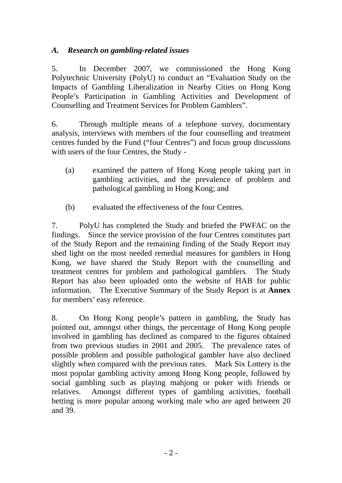# *A. Research on gambling-related issues*

5. In December 2007, we commissioned the Hong Kong Polytechnic University (PolyU) to conduct an "Evaluation Study on the Impacts of Gambling Liberalization in Nearby Cities on Hong Kong People's Participation in Gambling Activities and Development of Counselling and Treatment Services for Problem Gamblers".

6. Through multiple means of a telephone survey, documentary analysis, interviews with members of the four counselling and treatment centres funded by the Fund ("four Centres") and focus group discussions with users of the four Centres, the Study -

- (a) examined the pattern of Hong Kong people taking part in gambling activities, and the prevalence of problem and pathological gambling in Hong Kong; and
- (b) evaluated the effectiveness of the four Centres.

7. PolyU has completed the Study and briefed the PWFAC on the findings. Since the service provision of the four Centres constitutes part of the Study Report and the remaining finding of the Study Report may shed light on the most needed remedial measures for gamblers in Hong Kong, we have shared the Study Report with the counselling and treatment centres for problem and pathological gamblers. The Study Report has also been uploaded onto the website of HAB for public information. The Executive Summary of the Study Report is at **Annex** for members' easy reference.

8. On Hong Kong people's pattern in gambling, the Study has pointed out, amongst other things, the percentage of Hong Kong people involved in gambling has declined as compared to the figures obtained from two previous studies in 2001 and 2005. The prevalence rates of possible problem and possible pathological gambler have also declined slightly when compared with the previous rates. Mark Six Lottery is the most popular gambling activity among Hong Kong people, followed by social gambling such as playing mahjong or poker with friends or relatives. Amongst different types of gambling activities, football betting is more popular among working male who are aged between 20 and 39.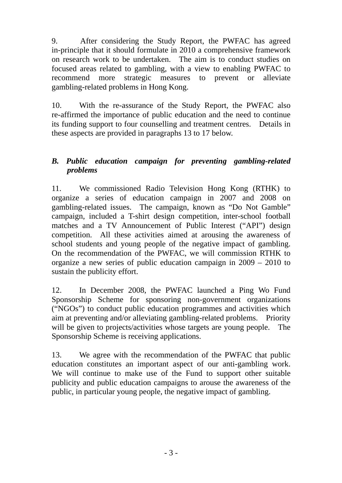9. After considering the Study Report, the PWFAC has agreed in-principle that it should formulate in 2010 a comprehensive framework on research work to be undertaken. The aim is to conduct studies on focused areas related to gambling, with a view to enabling PWFAC to recommend more strategic measures to prevent or alleviate gambling-related problems in Hong Kong.

10. With the re-assurance of the Study Report, the PWFAC also re-affirmed the importance of public education and the need to continue its funding support to four counselling and treatment centres. Details in these aspects are provided in paragraphs 13 to 17 below.

# *B. Public education campaign for preventing gambling-related problems*

11. We commissioned Radio Television Hong Kong (RTHK) to organize a series of education campaign in 2007 and 2008 on gambling-related issues. The campaign, known as "Do Not Gamble" campaign, included a T-shirt design competition, inter-school football matches and a TV Announcement of Public Interest ("API") design competition. All these activities aimed at arousing the awareness of school students and young people of the negative impact of gambling. On the recommendation of the PWFAC, we will commission RTHK to organize a new series of public education campaign in 2009 – 2010 to sustain the publicity effort.

12. In December 2008, the PWFAC launched a Ping Wo Fund Sponsorship Scheme for sponsoring non-government organizations ("NGOs") to conduct public education programmes and activities which aim at preventing and/or alleviating gambling-related problems. Priority will be given to projects/activities whose targets are young people. The Sponsorship Scheme is receiving applications.

13. We agree with the recommendation of the PWFAC that public education constitutes an important aspect of our anti-gambling work. We will continue to make use of the Fund to support other suitable publicity and public education campaigns to arouse the awareness of the public, in particular young people, the negative impact of gambling.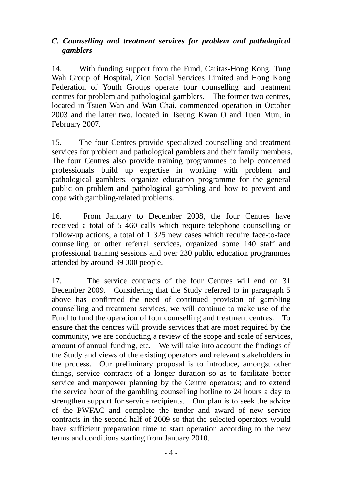# *C. Counselling and treatment services for problem and pathological gamblers*

14. With funding support from the Fund, Caritas-Hong Kong, Tung Wah Group of Hospital, Zion Social Services Limited and Hong Kong Federation of Youth Groups operate four counselling and treatment centres for problem and pathological gamblers. The former two centres, located in Tsuen Wan and Wan Chai, commenced operation in October 2003 and the latter two, located in Tseung Kwan O and Tuen Mun, in February 2007.

15. The four Centres provide specialized counselling and treatment services for problem and pathological gamblers and their family members. The four Centres also provide training programmes to help concerned professionals build up expertise in working with problem and pathological gamblers, organize education programme for the general public on problem and pathological gambling and how to prevent and cope with gambling-related problems.

16. From January to December 2008, the four Centres have received a total of 5 460 calls which require telephone counselling or follow-up actions, a total of 1 325 new cases which require face-to-face counselling or other referral services, organized some 140 staff and professional training sessions and over 230 public education programmes attended by around 39 000 people.

17. The service contracts of the four Centres will end on 31 December 2009. Considering that the Study referred to in paragraph 5 above has confirmed the need of continued provision of gambling counselling and treatment services, we will continue to make use of the Fund to fund the operation of four counselling and treatment centres. To ensure that the centres will provide services that are most required by the community, we are conducting a review of the scope and scale of services, amount of annual funding, etc. We will take into account the findings of the Study and views of the existing operators and relevant stakeholders in the process. Our preliminary proposal is to introduce, amongst other things, service contracts of a longer duration so as to facilitate better service and manpower planning by the Centre operators; and to extend the service hour of the gambling counselling hotline to 24 hours a day to strengthen support for service recipients. Our plan is to seek the advice of the PWFAC and complete the tender and award of new service contracts in the second half of 2009 so that the selected operators would have sufficient preparation time to start operation according to the new terms and conditions starting from January 2010.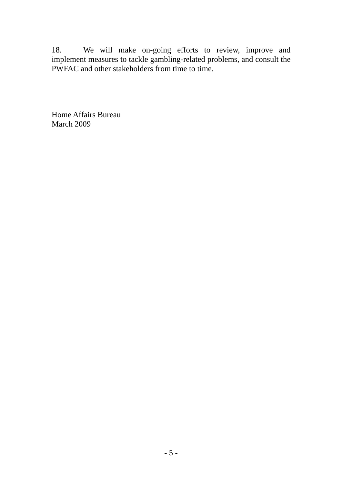18. We will make on-going efforts to review, improve and implement measures to tackle gambling-related problems, and consult the PWFAC and other stakeholders from time to time.

Home Affairs Bureau March 2009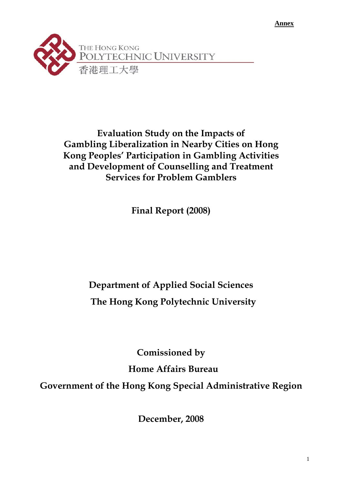**Annex** 



**Evaluation Study on the Impacts of Gambling Liberalization in Nearby Cities on Hong Kong Peoples' Participation in Gambling Activities and Development of Counselling and Treatment Services for Problem Gamblers** 

**Final Report (2008)** 

# **Department of Applied Social Sciences The Hong Kong Polytechnic University**

**Comissioned by Home Affairs Bureau Government of the Hong Kong Special Administrative Region** 

**December, 2008**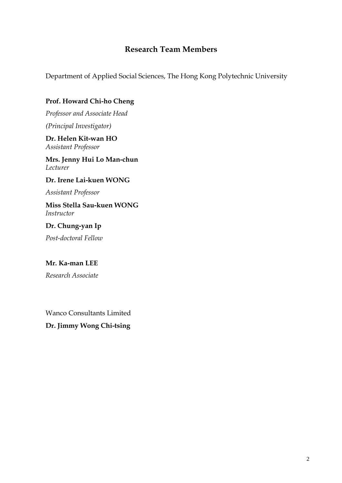# **Research Team Members**

Department of Applied Social Sciences, The Hong Kong Polytechnic University

## **Prof. Howard Chi-ho Cheng**

*Professor and Associate Head (Principal Investigator)* 

**Dr. Helen Kit-wan HO**  *Assistant Professor* 

**Mrs. Jenny Hui Lo Man-chun**  *Lecturer* 

**Dr. Irene Lai-kuen WONG** 

*Assistant Professor* 

**Miss Stella Sau-kuen WONG**  *Instructor* 

**Dr. Chung-yan Ip** 

*Post-doctoral Fellow* 

#### **Mr. Ka-man LEE**

*Research Associate* 

Wanco Consultants Limited

**Dr. Jimmy Wong Chi-tsing**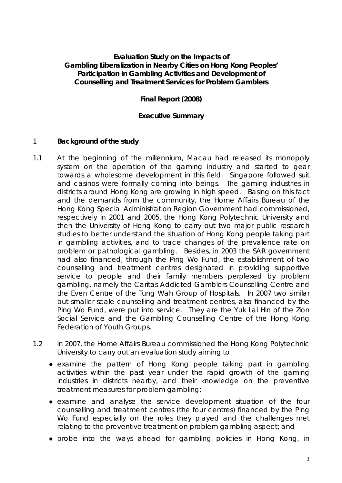### **Evaluation Study on the Impacts of Gambling Liberalization in Nearby Cities on Hong Kong Peoples' Participation in Gambling Activities and Development of Counselling and Treatment Services for Problem Gamblers**

### **Final Report (2008)**

#### **Executive Summary**

#### 1 **Background of the study**

- 1.1 At the beginning of the millennium, Macau had released its monopoly system on the operation of the gaming industry and started to gear towards a wholesome development in this field. Singapore followed suit and casinos were formally coming into beings. The gaming industries in districts around Hong Kong are growing in high speed. Basing on this fact and the demands from the community, the Home Affairs Bureau of the Hong Kong Special Administration Region Government had commissioned, respectively in 2001 and 2005, the Hong Kong Polytechnic University and then the University of Hong Kong to carry out two major public research studies to better understand the situation of Hong Kong people taking part in gambling activities, and to trace changes of the prevalence rate on problem or pathological gambling. Besides, in 2003 the SAR government had also financed, through the Ping Wo Fund, the establishment of two counselling and treatment centres designated in providing supportive service to people and their family members perplexed by problem gambling, namely the Caritas Addicted Gamblers Counselling Centre and the Even Centre of the Tung Wah Group of Hospitals. In 2007 two similar but smaller scale counselling and treatment centres, also financed by the Ping Wo Fund, were put into service. They are the Yuk Lai Hin of the Zion Social Service and the Gambling Counselling Centre of the Hong Kong Federation of Youth Groups.
- 1.2 In 2007, the Home Affairs Bureau commissioned the Hong Kong Polytechnic University to carry out an evaluation study aiming to
	- examine the pattern of Hong Kong people taking part in gambling activities within the past year under the rapid growth of the gaming industries in districts nearby, and their knowledge on the preventive treatment measures for problem gambling;
	- examine and analyse the service development situation of the four counselling and treatment centres (the four centres) financed by the Ping Wo Fund especially on the roles they played and the challenges met relating to the preventive treatment on problem gambling aspect; and
	- probe into the ways ahead for gambling policies in Hong Kong, in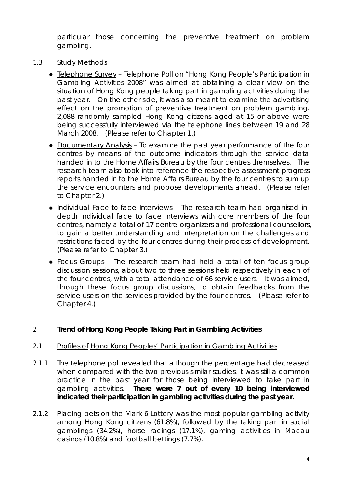particular those concerning the preventive treatment on problem gambling.

- 1.3 Study Methods
	- Telephone Survey Telephone Poll on "Hong Kong People's Participation in Gambling Activities 2008" was aimed at obtaining a clear view on the situation of Hong Kong people taking part in gambling activities during the past year. On the other side, it was also meant to examine the advertising effect on the promotion of preventive treatment on problem gambling. 2,088 randomly sampled Hong Kong citizens aged at 15 or above were being successfully interviewed via the telephone lines between 19 and 28 March 2008. (Please refer to Chapter 1.)
	- Documentary Analysis To examine the past year performance of the four centres by means of the outcome indicators through the service data handed in to the Home Affairs Bureau by the four centres themselves. The research team also took into reference the respective assessment progress reports handed in to the Home Affairs Bureau by the four centres to sum up the service encounters and propose developments ahead. (Please refer to Chapter 2.)
	- Individual Face-to-face Interviews The research team had organised indepth individual face to face interviews with core members of the four centres, namely a total of 17 centre organizers and professional counsellors, to gain a better understanding and interpretation on the challenges and restrictions faced by the four centres during their process of development. (Please refer to Chapter 3.)
	- Focus Groups The research team had held a total of ten focus group discussion sessions, about two to three sessions held respectively in each of the four centres, with a total attendance of 66 service users. It was aimed, through these focus group discussions, to obtain feedbacks from the service users on the services provided by the four centres. (Please refer to Chapter 4.)

# 2 **Trend of Hong Kong People Taking Part in Gambling Activities**

#### 2.1 Profiles of Hong Kong Peoples' Participation in Gambling Activities

- 2.1.1 The telephone poll revealed that although the percentage had decreased when compared with the two previous similar studies, it was still a common practice in the past year for those being interviewed to take part in gambling activities. **There were 7 out of every 10 being interviewed indicated their participation in gambling activities during the past year.**
- 2.1.2 Placing bets on the Mark 6 Lottery was the most popular gambling activity among Hong Kong citizens (61.8%), followed by the taking part in social gamblings (34.2%), horse racings (17.1%), gaming activities in Macau casinos (10.8%) and football bettings (7.7%).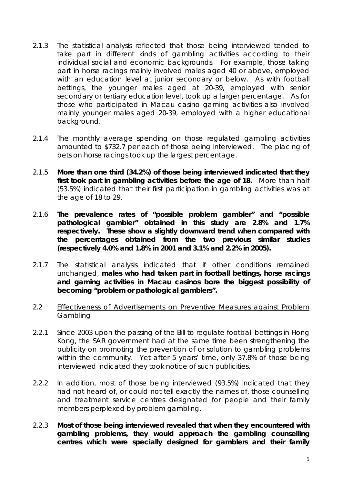- 2.1.3 The statistical analysis reflected that those being interviewed tended to take part in different kinds of gambling activities according to their individual social and economic backgrounds. For example, those taking part in horse racings mainly involved males aged 40 or above, employed with an education level at junior secondary or below. As with football bettings, the younger males aged at 20-39, employed with senior secondary or tertiary education level, took up a larger percentage. As for those who participated in Macau casino gaming activities also involved mainly younger males aged 20-39, employed with a higher educational background.
- 2.1.4 The monthly average spending on those regulated gambling activities amounted to \$732.7 per each of those being interviewed. The placing of bets on horse racings took up the largest percentage.
- 2.1.5 **More than one third (34.2%) of those being interviewed indicated that they first took part in gambling activities before the age of 18.** More than half (53.5%) indicated that their first participation in gambling activities was at the age of 18 to 29.
- 2.1.6 **The prevalence rates of "possible problem gambler" and "possible pathological gambler" obtained in this study are 2.8% and 1.7% respectively. These show a slightly downward trend when compared with the percentages obtained from the two previous similar studies (respectively 4.0% and 1.8% in 2001 and 3.1% and 2.2% in 2005).**
- 2.1.7 The statistical analysis indicated that if other conditions remained unchanged, **males who had taken part in football bettings, horse racings and gaming activities in Macau casinos bore the biggest possibility of becoming "problem or pathological gamblers".**
- 2.2 Effectiveness of Advertisements on Preventive Measures against Problem Gambling
- 2.2.1 Since 2003 upon the passing of the Bill to regulate football bettings in Hong Kong, the SAR government had at the same time been strengthening the publicity on promoting the prevention of or solution to gambling problems within the community. Yet after 5 years' time, only 37.8% of those being interviewed indicated they took notice of such publicities.
- 2.2.2 In addition, most of those being interviewed (93.5%) indicated that they had not heard of, or could not tell exactly the names of, those counselling and treatment service centres designated for people and their family members perplexed by problem gambling.
- 2.2.3 **Most of those being interviewed revealed that when they encountered with gambling problems, they would approach the gambling counselling centres which were specially designed for gamblers and their family**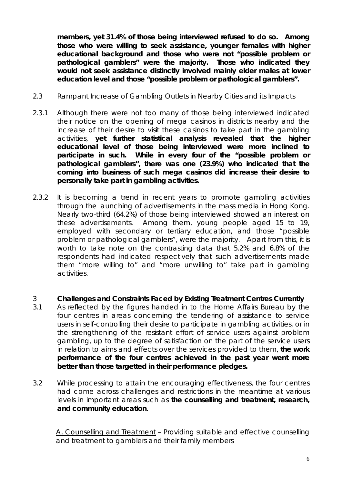**members, yet 31.4% of those being interviewed refused to do so. Among those who were willing to seek assistance, younger females with higher educational background and those who were not "possible problem or pathological gamblers" were the majority. Those who indicated they would not seek assistance distinctly involved mainly elder males at lower education level and those "possible problem or pathological gamblers".**

- 2.3 Rampant Increase of Gambling Outlets in Nearby Cities and its Impacts
- 2.3.1 Although there were not too many of those being interviewed indicated their notice on the opening of mega casinos in districts nearby and the increase of their desire to visit these casinos to take part in the gambling activities, **yet further statistical analysis revealed that the higher educational level of those being interviewed were more inclined to participate in such. While in every four of the "possible problem or pathological gamblers", there was one (23.9%) who indicated that the coming into business of such mega casinos did increase their desire to personally take part in gambling activities.**
- 2.3.2 It is becoming a trend in recent years to promote gambling activities through the launching of advertisements in the mass media in Hong Kong. Nearly two-third (64.2%) of those being interviewed showed an interest on these advertisements. Among them, young people aged 15 to 19, employed with secondary or tertiary education, and those "possible problem or pathological gamblers", were the majority. Apart from this, it is worth to take note on the contrasting data that 5.2% and 6.8% of the respondents had indicated respectively that such advertisements made them "more willing to" and "more unwilling to" take part in gambling activities.
- 3 **Challenges and Constraints Faced by Existing Treatment Centres Currently**
- 3.1 As reflected by the figures handed in to the Home Affairs Bureau by the four centres in areas concerning the tendering of assistance to service users in self-controlling their desire to participate in gambling activities, or in the strengthening of the resistant effort of service users against problem gambling, up to the degree of satisfaction on the part of the service users in relation to aims and effects over the services provided to them, **the work performance of the four centres achieved in the past year went more better than those targetted in their performance pledges.**
- 3.2 While processing to attain the encouraging effectiveness, the four centres had come across challenges and restrictions in the meantime at various levels in important areas such as **the counselling and treatment, research, and community education**.

A. Counselling and Treatment – Providing suitable and effective counselling and treatment to gamblers and their family members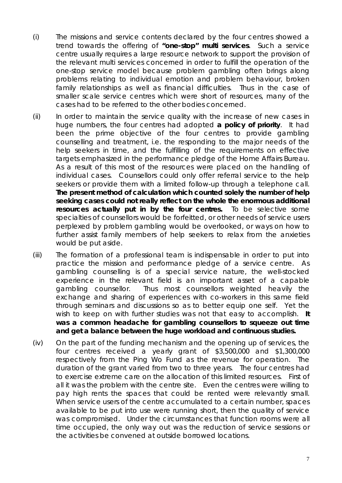- (i) The missions and service contents declared by the four centres showed a trend towards the offering of **"one-stop" multi services**. Such a service centre usually requires a large resource network to support the provision of the relevant multi services concerned in order to fulfill the operation of the one-stop service model because problem gambling often brings along problems relating to individual emotion and problem behaviour, broken family relationships as well as financial difficulties. Thus in the case of smaller scale service centres which were short of resources, many of the cases had to be referred to the other bodies concerned.
- (ii) In order to maintain the service quality with the increase of new cases in huge numbers, the four centres had adopted **a policy of priority**. It had been the prime objective of the four centres to provide gambling counselling and treatment, i.e. the responding to the major needs of the help seekers in time, and the fulfilling of the requirements on effective targets emphasized in the performance pledge of the Home Affairs Bureau. As a result of this most of the resources were placed on the handling of individual cases. Counsellors could only offer referral service to the help seekers or provide them with a limited follow-up through a telephone call. **The present method of calculation which counted solely the number of help seeking cases could not really reflect on the whole the enormous additional resources actually put in by the four centres.** To be selective some specialties of counsellors would be forfeitted, or other needs of service users perplexed by problem gambling would be overlooked, or ways on how to further assist family members of help seekers to relax from the anxieties would be put aside.
- (iii) The formation of a professional team is indispensable in order to put into practice the mission and performance pledge of a service centre. As gambling counselling is of a special service nature, the well-stocked experience in the relevant field is an important asset of a capable gambling counsellor. Thus most counsellors weighted heavily the exchange and sharing of experiences with co-workers in this same field through seminars and discussions so as to better equip one self. Yet the wish to keep on with further studies was not that easy to accomplish. **It was a common headache for gambling counsellors to squeeze out time and get a balance between the huge workload and continuous studies.**
- (iv) On the part of the funding mechanism and the opening up of services, the four centres received a yearly grant of \$3,500,000 and \$1,300,000 respectively from the Ping Wo Fund as the revenue for operation. The duration of the grant varied from two to three years. The four centres had to exercise extreme care on the allocation of this limited resources. First of all it was the problem with the centre site. Even the centres were willing to pay high rents the spaces that could be rented were relevantly small. When service users of the centre accumulated to a certain number, spaces available to be put into use were running short, then the quality of service was compromised. Under the circumstances that function rooms were all time occupied, the only way out was the reduction of service sessions or the activities be convened at outside borrowed locations.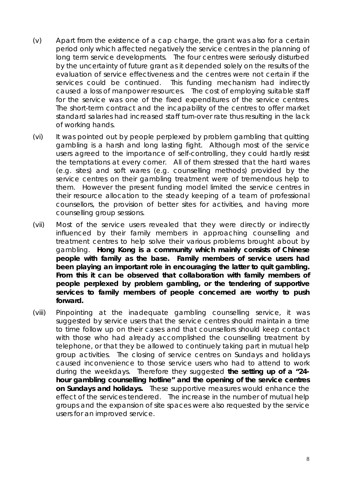- (v) Apart from the existence of a cap charge, the grant was also for a certain period only which affected negatively the service centres in the planning of long term service developments. The four centres were seriously disturbed by the uncertainty of future grant as it depended solely on the results of the evaluation of service effectiveness and the centres were not certain if the services could be continued. This funding mechanism had indirectly caused a loss of manpower resources. The cost of employing suitable staff for the service was one of the fixed expenditures of the service centres. The short-term contract and the incapability of the centres to offer market standard salaries had increased staff turn-over rate thus resulting in the lack of working hands.
- (vi) It was pointed out by people perplexed by problem gambling that quitting gambling is a harsh and long lasting fight. Although most of the service users agreed to the importance of self-controlling, they could hardly resist the temptations at every corner. All of them stressed that the hard wares (e.g. sites) and soft wares (e.g. counselling methods) provided by the service centres on their gambling treatment were of tremendous help to them. However the present funding model limited the service centres in their resource allocation to the steady keeping of a team of professional counsellors, the provision of better sites for activities, and having more counselling group sessions.
- (vii) Most of the service users revealed that they were directly or indirectly influenced by their family members in approaching counselling and treatment centres to help solve their various problems brought about by gambling. **Hong Kong is a community which mainly consists of Chinese people with family as the base. Family members of service users had been playing an important role in encouraging the latter to quit gambling. From this it can be observed that collaboration with family members of people perplexed by problem gambling, or the tendering of supportive services to family members of people concerned are worthy to push forward.**
- (viii) Pinpointing at the inadequate gambling counselling service, it was suggested by service users that the service centres should maintain a time to time follow up on their cases and that counsellors should keep contact with those who had already accomplished the counselling treatment by telephone, or that they be allowed to continuely taking part in mutual help group activities. The closing of service centres on Sundays and holidays caused inconvenience to those service users who had to attend to work during the weekdays. Therefore they suggested **the setting up of a "24 hour gambling counselling hotline" and the opening of the service centres on Sundays and holidays.** These supportive measures would enhance the effect of the services tendered. The increase in the number of mutual help groups and the expansion of site spaces were also requested by the service users for an improved service.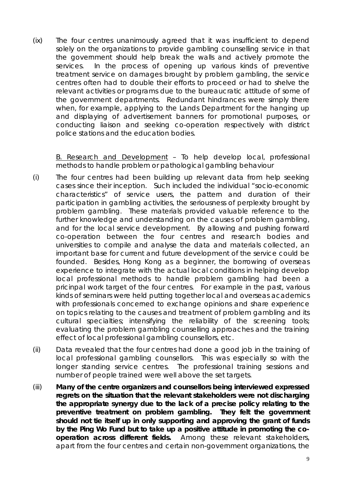(ix) The four centres unanimously agreed that it was insufficient to depend solely on the organizations to provide gambling counselling service in that the government should help break the walls and actively promote the services. In the process of opening up various kinds of preventive treatment service on damages brought by problem gambling, the service centres often had to double their efforts to proceed or had to shelve the relevant activities or programs due to the bureaucratic attitude of some of the government departments. Redundant hindrances were simply there when, for example, applying to the Lands Department for the hanging up and displaying of advertisement banners for promotional purposes, or conducting liaison and seeking co-operation respectively with district police stations and the education bodies.

B. Research and Development – To help develop local, professional methods to handle problem or pathological gambling behaviour

- (i) The four centres had been building up relevant data from help seeking cases since their inception. Such included the individual "socio-economic characteristics" of service users, the pattern and duration of their participation in gambling activities, the seriousness of perplexity brought by problem gambling. These materials provided valuable reference to the further knowledge and understanding on the causes of problem gambling, and for the local service development. By allowing and pushing forward co-operation between the four centres and research bodies and universities to compile and analyse the data and materials collected, an important base for current and future development of the service could be founded. Besides, Hong Kong as a beginner, the borrowing of overseas experience to integrate with the actual local conditions in helping develop local professional methods to handle problem gambling had been a pricinpal work target of the four centres. For example in the past, various kinds of seminars were held putting together local and overseas academics with professionals concerned to exchange opinions and share experience on topics relating to the causes and treatment of problem gambling and its cultural specialties; intensifying the reliability of the screening tools; evaluating the problem gambling counselling approaches and the training effect of local professional gambling counsellors, etc.
- (ii) Data revealed that the four centres had done a good job in the training of local professional gambling counsellors. This was especially so with the longer standing service centres. The professional training sessions and number of people trained were well above the set targets.
- (iii) **Many of the centre organizers and counsellors being interviewed expressed regrets on the situation that the relevant stakeholders were not discharging the appropriate synergy due to the lack of a precise policy relating to the preventive treatment on problem gambling. They felt the government should not tie itself up in only supporting and approving the grant of funds by the Ping Wo Fund but to take up a positive attitude in promoting the cooperation across different fields.** Among these relevant stakeholders, apart from the four centres and certain non-government organizations, the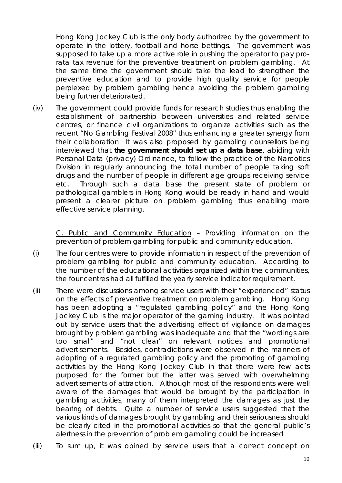Hong Kong Jockey Club is the only body authorized by the government to operate in the lottery, football and horse bettings. The government was supposed to take up a more active role in pushing the operator to pay prorata tax revenue for the preventive treatment on problem gambling. At the same time the government should take the lead to strengthen the preventive education and to provide high quality service for people perplexed by problem gambling hence avoiding the problem gambling being further deteriorated.

(iv) The government could provide funds for research studies thus enabling the establishment of partnership between universities and related service centres, or finance civil organizations to organize activities such as the recent "No Gambling Festival 2008" thus enhancing a greater synergy from their collaboration It was also proposed by gambling counsellors being interviewed that **the government should set up a data base**, abiding with Personal Data (privacy) Ordinance, to follow the practice of the Narcotics Division in regularly announcing the total number of people taking soft drugs and the number of people in different age groups receiving service etc. Through such a data base the present state of problem or pathological gamblers in Hong Kong would be ready in hand and would present a clearer picture on problem gambling thus enabling more effective service planning.

C. Public and Community Education – Providing information on the prevention of problem gambling for public and community education.

- (i) The four centres were to provide information in respect of the prevention of problem gambling for public and community education. According to the number of the educational activities organized within the communities, the four centres had all fulfilled the yearly service indicator requirement.
- (ii) There were discussions among service users with their "experienced" status on the effects of preventive treatment on problem gambling. Hong Kong has been adopting a "regulated gambling policy" and the Hong Kong Jockey Club is the major operator of the gaming industry. It was pointed out by service users that the advertising effect of vigilance on damages brought by problem gambling was inadequate and that the "wordings are too small" and "not clear" on relevant notices and promotional advertisements. Besides, contradictions were observed in the manners of adopting of a regulated gambling policy and the promoting of gambling activities by the Hong Kong Jockey Club in that there were few acts purposed for the former but the latter was served with overwhelming advertisements of attraction. Although most of the respondents were well aware of the damages that would be brought by the participation in gambling activities, many of them interpreted the damages as just the bearing of debts. Quite a number of service users suggested that the various kinds of damages brought by gambling and their seriousness should be clearly cited in the promotional activities so that the general public's alertness in the prevention of problem gambling could be increased
- (iii) To sum up, it was opined by service users that a correct concept on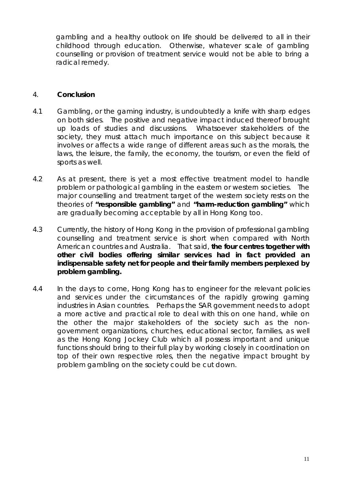gambling and a healthy outlook on life should be delivered to all in their childhood through education. Otherwise, whatever scale of gambling counselling or provision of treatment service would not be able to bring a radical remedy.

#### 4. **Conclusion**

- 4.1 Gambling, or the gaming industry, is undoubtedly a knife with sharp edges on both sides. The positive and negative impact induced thereof brought up loads of studies and discussions. Whatsoever stakeholders of the society, they must attach much importance on this subject because it involves or affects a wide range of different areas such as the morals, the laws, the leisure, the family, the economy, the tourism, or even the field of sports as well.
- 4.2 As at present, there is yet a most effective treatment model to handle problem or pathological gambling in the eastern or western societies. The major counselling and treatment target of the western society rests on the theories of **"responsible gambling"** and **"harm-reduction gambling"** which are gradually becoming acceptable by all in Hong Kong too.
- 4.3 Currently, the history of Hong Kong in the provision of professional gambling counselling and treatment service is short when compared with North American countries and Australia. That said, **the four centres together with other civil bodies offering similar services had in fact provided an indispensable safety net for people and their family members perplexed by problem gambling.**
- 4.4 In the days to come, Hong Kong has to engineer for the relevant policies and services under the circumstances of the rapidly growing gaming industries in Asian countries. Perhaps the SAR government needs to adopt a more active and practical role to deal with this on one hand, while on the other the major stakeholders of the society such as the nongovernment organizations, churches, educational sector, families, as well as the Hong Kong Jockey Club which all possess important and unique functions should bring to their full play by working closely in coordination on top of their own respective roles, then the negative impact brought by problem gambling on the society could be cut down.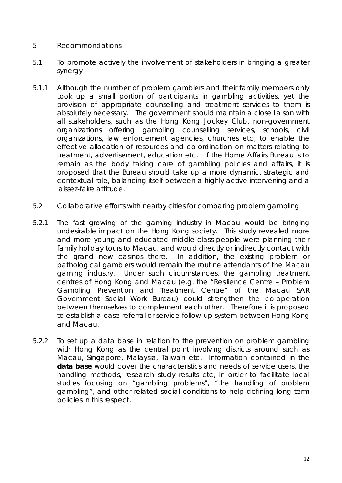## 5 Recommondations

#### 5.1 To promote actively the involvement of stakeholders in bringing a greater synergy

5.1.1 Although the number of problem gamblers and their family members only took up a small portion of participants in gambling activities, yet the provision of appropriate counselling and treatment services to them is absolutely necessary. The government should maintain a close liaison with all stakeholders, such as the Hong Kong Jockey Club, non-government organizations offering gambling counselling services, schools, civil organizations, law enforcement agencies, churches etc, to enable the effective allocation of resources and co-ordination on matters relating to treatment, advertisement, education etc. If the Home Affairs Bureau is to remain as the body taking care of gambling policies and affairs, it is proposed that the Bureau should take up a more dynamic, strategic and contextual role, balancing itself between a highly active intervening and a laissez-faire attitude.

#### 5.2 Collaborative efforts with nearby cities for combating problem gambling

- 5.2.1 The fast growing of the gaming industry in Macau would be bringing undesirable impact on the Hong Kong society. This study revealed more and more young and educated middle class people were planning their family holiday tours to Macau, and would directly or indirectly contact with the grand new casinos there. In addition, the existing problem or pathological gamblers would remain the routine attendants of the Macau gaming industry. Under such circumstances, the gambling treatment centres of Hong Kong and Macau (e.g. the "Resilience Centre – Problem Gambling Prevention and Treatment Centre" of the Macau SAR Government Social Work Bureau) could strengthen the co-operation between themselves to complement each other. Therefore it is proposed to establish a case referral or service follow-up system between Hong Kong and Macau.
- 5.2.2 To set up a data base in relation to the prevention on problem gambling with Hong Kong as the central point involving districts around such as Macau, Singapore, Malaysia, Taiwan etc. Information contained in the **data base** would cover the characteristics and needs of service users, the handling methods, research study results etc, in order to facilitate local studies focusing on "gambling problems", "the handling of problem gambling", and other related social conditions to help defining long term policies in this respect.